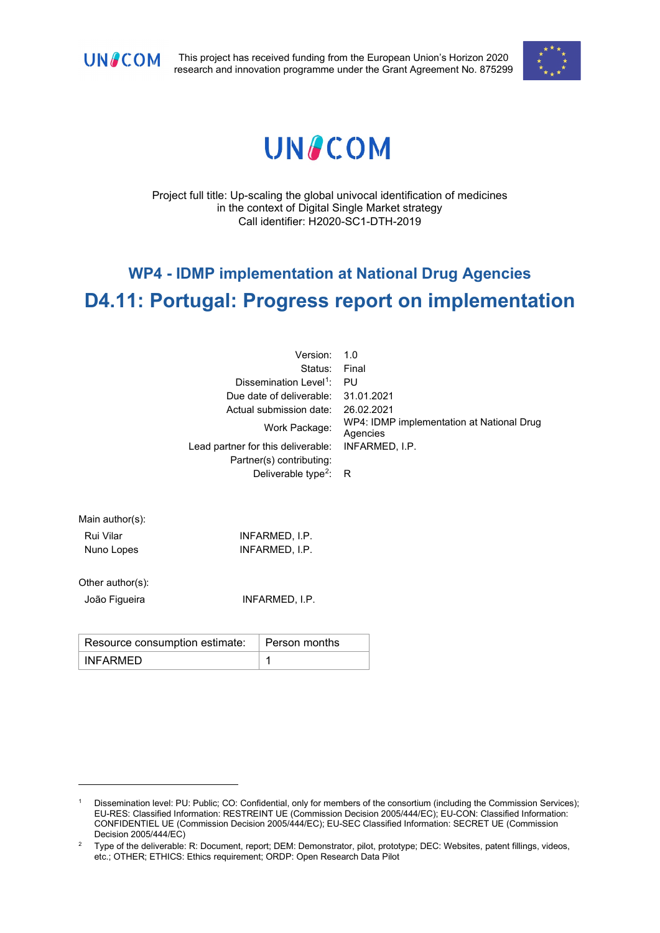

This project has received funding from the European Union's Horizon 2020 research and innovation programme under the Grant Agreement No. 875299



# **UNACOM**

Project full title: Up-scaling the global univocal identification of medicines in the context of Digital Single Market strategy Call identifier: H2020-SC1-DTH-2019

# **WP4 - IDMP implementation at National Drug Agencies D4.11: Portugal: Progress report on implementation**

| Version:                           | 1.0                                                   |
|------------------------------------|-------------------------------------------------------|
| Status:                            | Final                                                 |
| Dissemination Level <sup>1</sup> : | - PU                                                  |
| Due date of deliverable:           | 31.01.2021                                            |
| Actual submission date:            | 26.02.2021                                            |
| Work Package:                      | WP4: IDMP implementation at National Drug<br>Agencies |
| Lead partner for this deliverable: | INFARMED, I.P.                                        |
| Partner(s) contributing:           |                                                       |
| Deliverable type <sup>2</sup> : R  |                                                       |
|                                    |                                                       |

Main author(s):

Rui Vilar **INFARMED, I.P.** Nuno Lopes INFARMED, I.P.

Other author(s):

João Figueira **INFARMED, I.P.** 

| Resource consumption estimate:   Person months |  |
|------------------------------------------------|--|
| <b>INFARMED</b>                                |  |

<span id="page-0-0"></span><sup>1</sup> Dissemination level: PU: Public; CO: Confidential, only for members of the consortium (including the Commission Services); EU-RES: Classified Information: RESTREINT UE (Commission Decision 2005/444/EC); EU-CON: Classified Information: CONFIDENTIEL UE (Commission Decision 2005/444/EC); EU-SEC Classified Information: SECRET UE (Commission Decision 2005/444/EC)

<span id="page-0-1"></span><sup>&</sup>lt;sup>2</sup> Type of the deliverable: R: Document, report; DEM: Demonstrator, pilot, prototype; DEC: Websites, patent fillings, videos, etc.; OTHER; ETHICS: Ethics requirement; ORDP: Open Research Data Pilot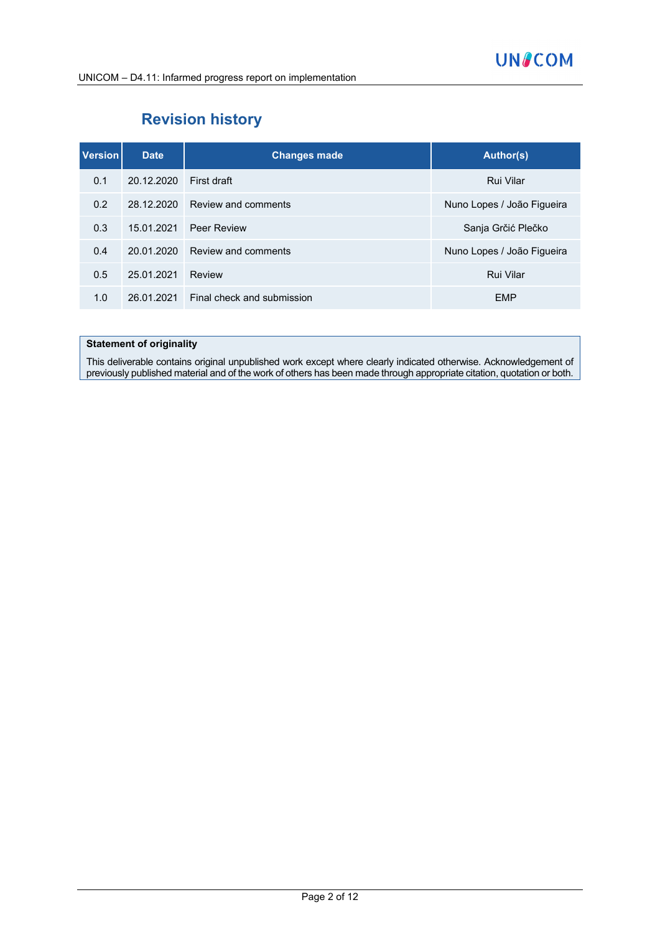# **Revision history**

| <b>Version</b> | <b>Date</b> | <b>Changes made</b>        | <b>Author(s)</b>           |
|----------------|-------------|----------------------------|----------------------------|
| 0.1            | 20.12.2020  | First draft                | Rui Vilar                  |
| 0.2            | 28.12.2020  | Review and comments        | Nuno Lopes / João Figueira |
| 0.3            | 15.01.2021  | Peer Review                | Sanja Grčić Plečko         |
| 0.4            | 20.01.2020  | Review and comments        | Nuno Lopes / João Figueira |
| 0.5            | 25.01.2021  | Review                     | <b>Rui Vilar</b>           |
| 1.0            | 26.01.2021  | Final check and submission | <b>FMP</b>                 |

#### **Statement of originality**

This deliverable contains original unpublished work except where clearly indicated otherwise. Acknowledgement of previously published material and of the work of others has been made through appropriate citation, quotation or both.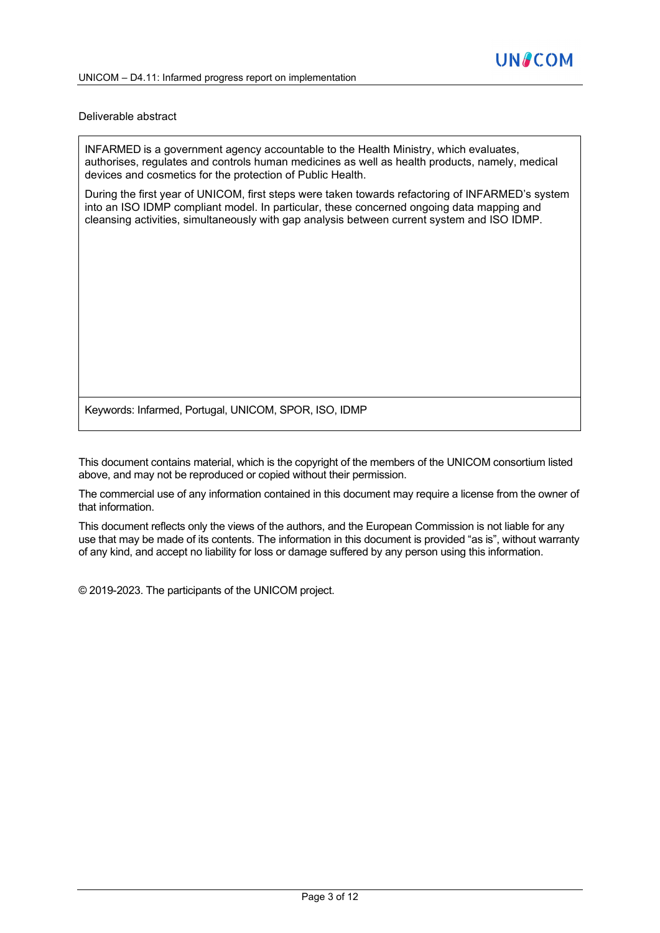#### Deliverable abstract

INFARMED is a government agency accountable to the Health Ministry, which evaluates, authorises, regulates and controls human medicines as well as health products, namely, medical devices and cosmetics for the protection of Public Health.

During the first year of UNICOM, first steps were taken towards refactoring of INFARMED's system into an ISO IDMP compliant model. In particular, these concerned ongoing data mapping and cleansing activities, simultaneously with gap analysis between current system and ISO IDMP.

Keywords: Infarmed, Portugal, UNICOM, SPOR, ISO, IDMP

This document contains material, which is the copyright of the members of the UNICOM consortium listed above, and may not be reproduced or copied without their permission.

The commercial use of any information contained in this document may require a license from the owner of that information.

This document reflects only the views of the authors, and the European Commission is not liable for any use that may be made of its contents. The information in this document is provided "as is", without warranty of any kind, and accept no liability for loss or damage suffered by any person using this information.

© 2019-2023. The participants of the UNICOM project.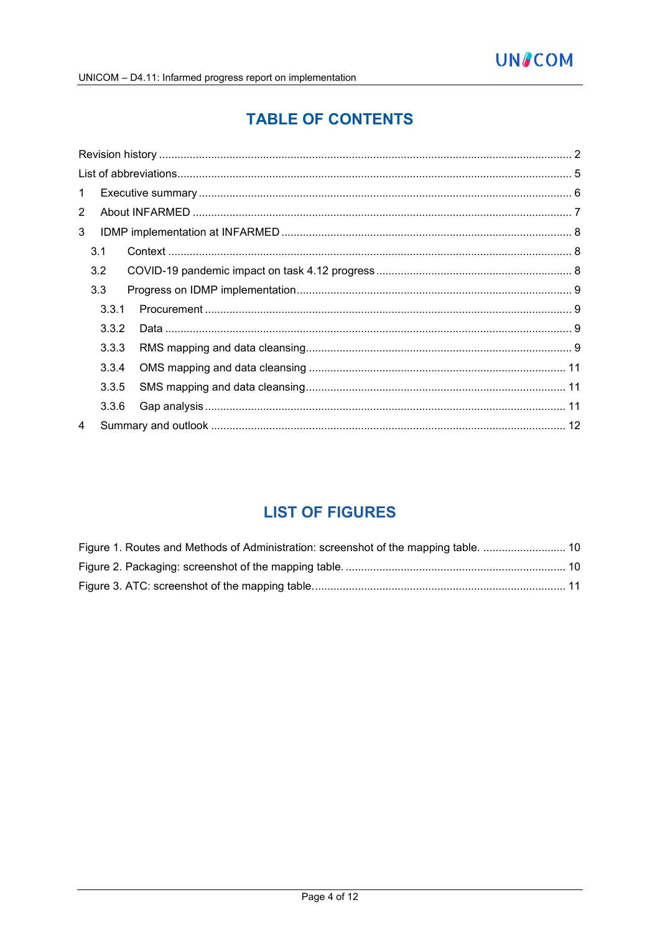# **TABLE OF CONTENTS**

| $\mathbf{1}$   |       |  |
|----------------|-------|--|
| $\overline{2}$ |       |  |
| 3              |       |  |
|                | 3.1   |  |
|                | 3.2   |  |
|                | 3.3   |  |
|                | 3.3.1 |  |
|                | 3.3.2 |  |
|                | 3.3.3 |  |
|                | 3.3.4 |  |
|                | 3.3.5 |  |
|                | 3.3.6 |  |
| 4              |       |  |

### **LIST OF FIGURES**

| Figure 1. Routes and Methods of Administration: screenshot of the mapping table.  10 |  |
|--------------------------------------------------------------------------------------|--|
|                                                                                      |  |
|                                                                                      |  |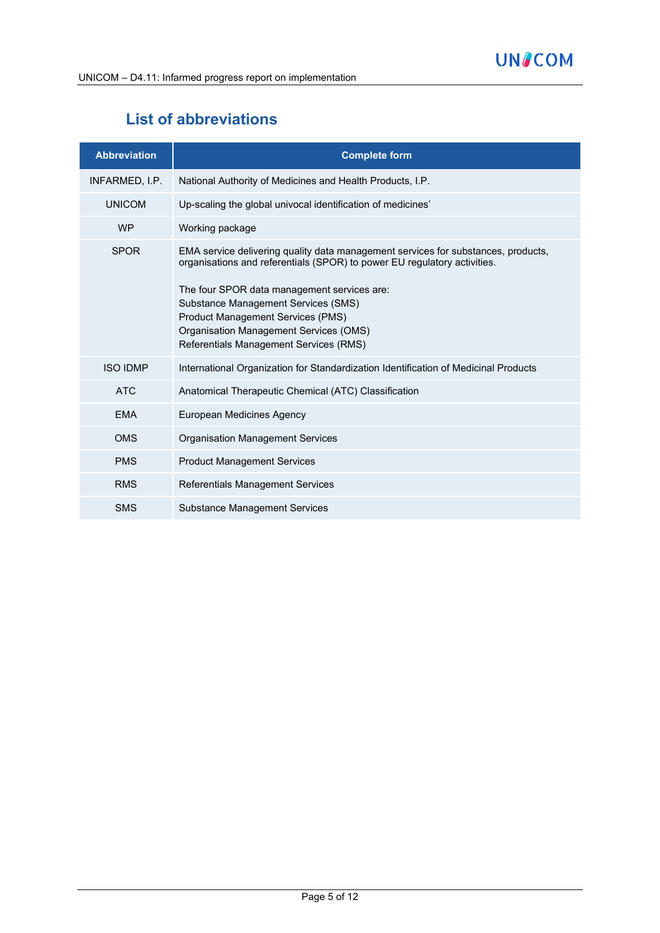# **List of abbreviations**

| <b>Abbreviation</b> | <b>Complete form</b>                                                                                                                                                                                                                                                                                                                                                         |
|---------------------|------------------------------------------------------------------------------------------------------------------------------------------------------------------------------------------------------------------------------------------------------------------------------------------------------------------------------------------------------------------------------|
| INFARMED, I.P.      | National Authority of Medicines and Health Products, I.P.                                                                                                                                                                                                                                                                                                                    |
| <b>UNICOM</b>       | Up-scaling the global univocal identification of medicines'                                                                                                                                                                                                                                                                                                                  |
| <b>WP</b>           | Working package                                                                                                                                                                                                                                                                                                                                                              |
| <b>SPOR</b>         | EMA service delivering quality data management services for substances, products,<br>organisations and referentials (SPOR) to power EU regulatory activities.<br>The four SPOR data management services are:<br>Substance Management Services (SMS)<br>Product Management Services (PMS)<br>Organisation Management Services (OMS)<br>Referentials Management Services (RMS) |
| <b>ISO IDMP</b>     | International Organization for Standardization Identification of Medicinal Products                                                                                                                                                                                                                                                                                          |
| <b>ATC</b>          | Anatomical Therapeutic Chemical (ATC) Classification                                                                                                                                                                                                                                                                                                                         |
| <b>FMA</b>          | European Medicines Agency                                                                                                                                                                                                                                                                                                                                                    |
| <b>OMS</b>          | <b>Organisation Management Services</b>                                                                                                                                                                                                                                                                                                                                      |
| <b>PMS</b>          | <b>Product Management Services</b>                                                                                                                                                                                                                                                                                                                                           |
| <b>RMS</b>          | Referentials Management Services                                                                                                                                                                                                                                                                                                                                             |
| <b>SMS</b>          | <b>Substance Management Services</b>                                                                                                                                                                                                                                                                                                                                         |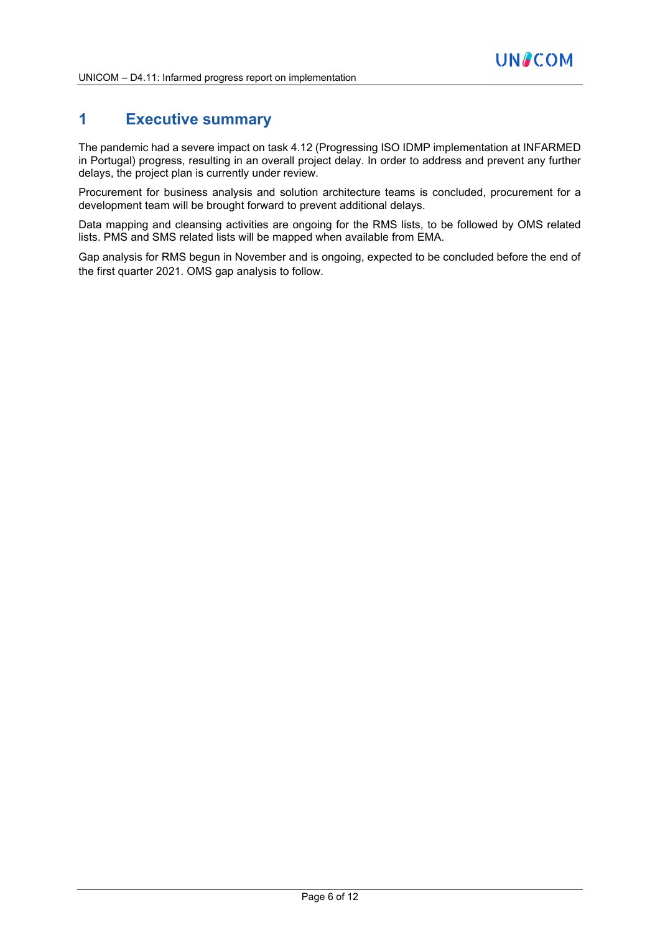### **1 Executive summary**

The pandemic had a severe impact on task 4.12 (Progressing ISO IDMP implementation at INFARMED in Portugal) progress, resulting in an overall project delay. In order to address and prevent any further delays, the project plan is currently under review.

Procurement for business analysis and solution architecture teams is concluded, procurement for a development team will be brought forward to prevent additional delays.

Data mapping and cleansing activities are ongoing for the RMS lists, to be followed by OMS related lists. PMS and SMS related lists will be mapped when available from EMA.

Gap analysis for RMS begun in November and is ongoing, expected to be concluded before the end of the first quarter 2021. OMS gap analysis to follow.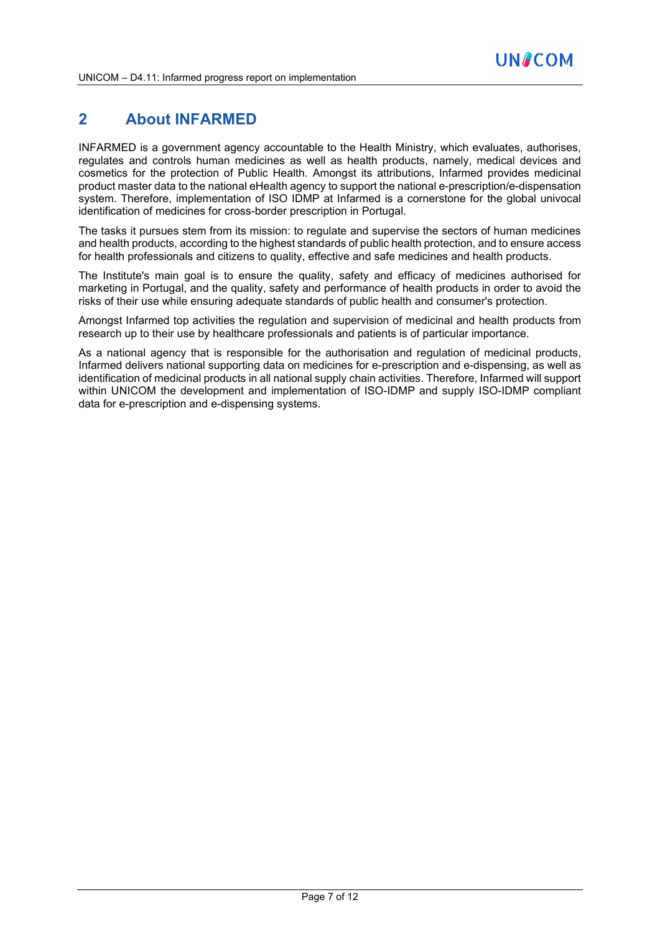### **2 About INFARMED**

INFARMED is a government agency accountable to the Health Ministry, which evaluates, authorises, regulates and controls human medicines as well as health products, namely, medical devices and cosmetics for the protection of Public Health. Amongst its attributions, Infarmed provides medicinal product master data to the national eHealth agency to support the national e-prescription/e-dispensation system. Therefore, implementation of ISO IDMP at Infarmed is a cornerstone for the global univocal identification of medicines for cross-border prescription in Portugal.

The tasks it pursues stem from its mission: to regulate and supervise the sectors of human medicines and health products, according to the highest standards of public health protection, and to ensure access for health professionals and citizens to quality, effective and safe medicines and health products.

The Institute's main goal is to ensure the quality, safety and efficacy of medicines authorised for marketing in Portugal, and the quality, safety and performance of health products in order to avoid the risks of their use while ensuring adequate standards of public health and consumer's protection.

Amongst Infarmed top activities the regulation and supervision of medicinal and health products from research up to their use by healthcare professionals and patients is of particular importance.

As a national agency that is responsible for the authorisation and regulation of medicinal products, Infarmed delivers national supporting data on medicines for e-prescription and e-dispensing, as well as identification of medicinal products in all national supply chain activities. Therefore, Infarmed will support within UNICOM the development and implementation of ISO-IDMP and supply ISO-IDMP compliant data for e-prescription and e-dispensing systems.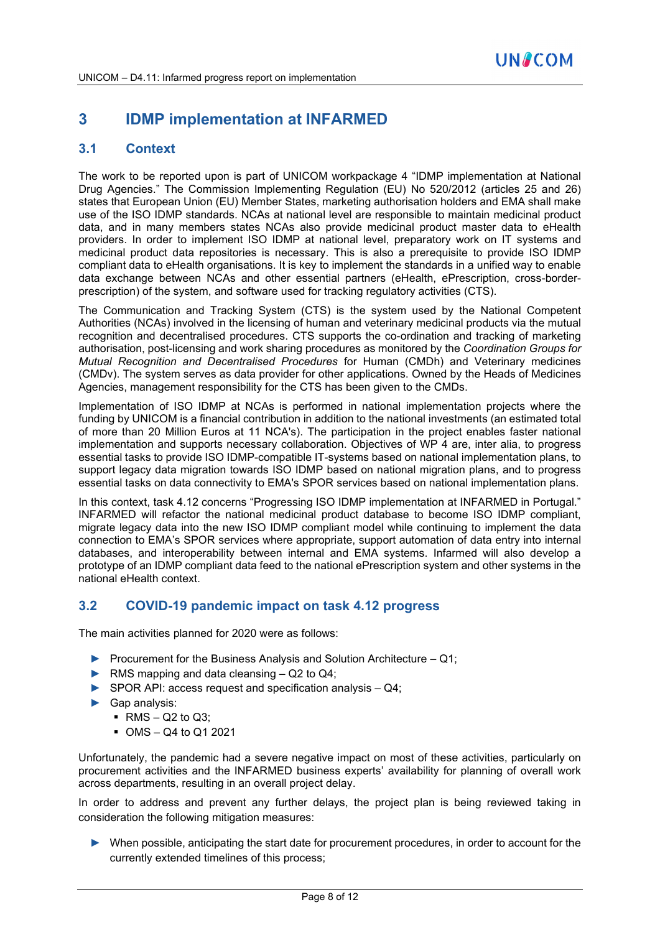### **3 IDMP implementation at INFARMED**

#### **3.1 Context**

The work to be reported upon is part of UNICOM workpackage 4 "IDMP implementation at National Drug Agencies." The Commission Implementing Regulation (EU) No 520/2012 (articles 25 and 26) states that European Union (EU) Member States, marketing authorisation holders and EMA shall make use of the ISO IDMP standards. NCAs at national level are responsible to maintain medicinal product data, and in many members states NCAs also provide medicinal product master data to eHealth providers. In order to implement ISO IDMP at national level, preparatory work on IT systems and medicinal product data repositories is necessary. This is also a prerequisite to provide ISO IDMP compliant data to eHealth organisations. It is key to implement the standards in a unified way to enable data exchange between NCAs and other essential partners (eHealth, ePrescription, cross-borderprescription) of the system, and software used for tracking regulatory activities (CTS).

The Communication and Tracking System (CTS) is the system used by the National Competent Authorities (NCAs) involved in the licensing of human and veterinary medicinal products via the mutual recognition and decentralised procedures. CTS supports the co-ordination and tracking of marketing authorisation, post-licensing and work sharing procedures as monitored by the *Coordination Groups for Mutual Recognition and Decentralised Procedures* for Human (CMDh) and Veterinary medicines (CMDv). The system serves as data provider for other applications. Owned by the Heads of Medicines Agencies, management responsibility for the CTS has been given to the CMDs.

Implementation of ISO IDMP at NCAs is performed in national implementation projects where the funding by UNICOM is a financial contribution in addition to the national investments (an estimated total of more than 20 Million Euros at 11 NCA's). The participation in the project enables faster national implementation and supports necessary collaboration. Objectives of WP 4 are, inter alia, to progress essential tasks to provide ISO IDMP-compatible IT-systems based on national implementation plans, to support legacy data migration towards ISO IDMP based on national migration plans, and to progress essential tasks on data connectivity to EMA's SPOR services based on national implementation plans.

In this context, task 4.12 concerns "Progressing ISO IDMP implementation at INFARMED in Portugal." INFARMED will refactor the national medicinal product database to become ISO IDMP compliant, migrate legacy data into the new ISO IDMP compliant model while continuing to implement the data connection to EMA's SPOR services where appropriate, support automation of data entry into internal databases, and interoperability between internal and EMA systems. Infarmed will also develop a prototype of an IDMP compliant data feed to the national ePrescription system and other systems in the national eHealth context.

#### **3.2 COVID-19 pandemic impact on task 4.12 progress**

The main activities planned for 2020 were as follows:

- ► Procurement for the Business Analysis and Solution Architecture Q1;
- $\triangleright$  RMS mapping and data cleansing Q2 to Q4:
- $\triangleright$  SPOR API: access request and specification analysis Q4;
- ► Gap analysis:
	- $\blacksquare$  RMS Q2 to Q3;
	- OMS Q4 to Q1 2021

Unfortunately, the pandemic had a severe negative impact on most of these activities, particularly on procurement activities and the INFARMED business experts' availability for planning of overall work across departments, resulting in an overall project delay.

In order to address and prevent any further delays, the project plan is being reviewed taking in consideration the following mitigation measures:

► When possible, anticipating the start date for procurement procedures, in order to account for the currently extended timelines of this process;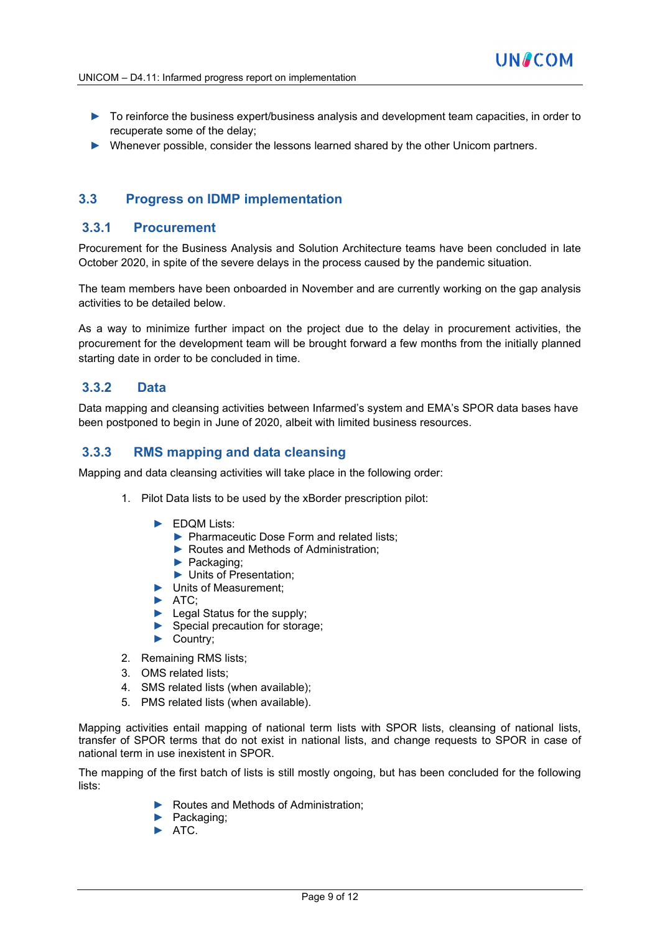- ► To reinforce the business expert/business analysis and development team capacities, in order to recuperate some of the delay;
- ► Whenever possible, consider the lessons learned shared by the other Unicom partners.

#### **3.3 Progress on IDMP implementation**

#### **3.3.1 Procurement**

Procurement for the Business Analysis and Solution Architecture teams have been concluded in late October 2020, in spite of the severe delays in the process caused by the pandemic situation.

The team members have been onboarded in November and are currently working on the gap analysis activities to be detailed below.

As a way to minimize further impact on the project due to the delay in procurement activities, the procurement for the development team will be brought forward a few months from the initially planned starting date in order to be concluded in time.

#### **3.3.2 Data**

Data mapping and cleansing activities between Infarmed's system and EMA's SPOR data bases have been postponed to begin in June of 2020, albeit with limited business resources.

#### **3.3.3 RMS mapping and data cleansing**

Mapping and data cleansing activities will take place in the following order:

- 1. Pilot Data lists to be used by the xBorder prescription pilot:
	- ► EDQM Lists:
		- ► Pharmaceutic Dose Form and related lists;
		- ► Routes and Methods of Administration;
		- ► Packaging;
		- ► Units of Presentation;
	- ► Units of Measurement;
	- ► ATC;
	- ► Legal Status for the supply;
	- ► Special precaution for storage;
	- ► Country;
- 2. Remaining RMS lists;
- 3. OMS related lists;
- 4. SMS related lists (when available);
- 5. PMS related lists (when available).

Mapping activities entail mapping of national term lists with SPOR lists, cleansing of national lists, transfer of SPOR terms that do not exist in national lists, and change requests to SPOR in case of national term in use inexistent in SPOR.

The mapping of the first batch of lists is still mostly ongoing, but has been concluded for the following lists:

- ► Routes and Methods of Administration;
- ► Packaging;
- ► ATC.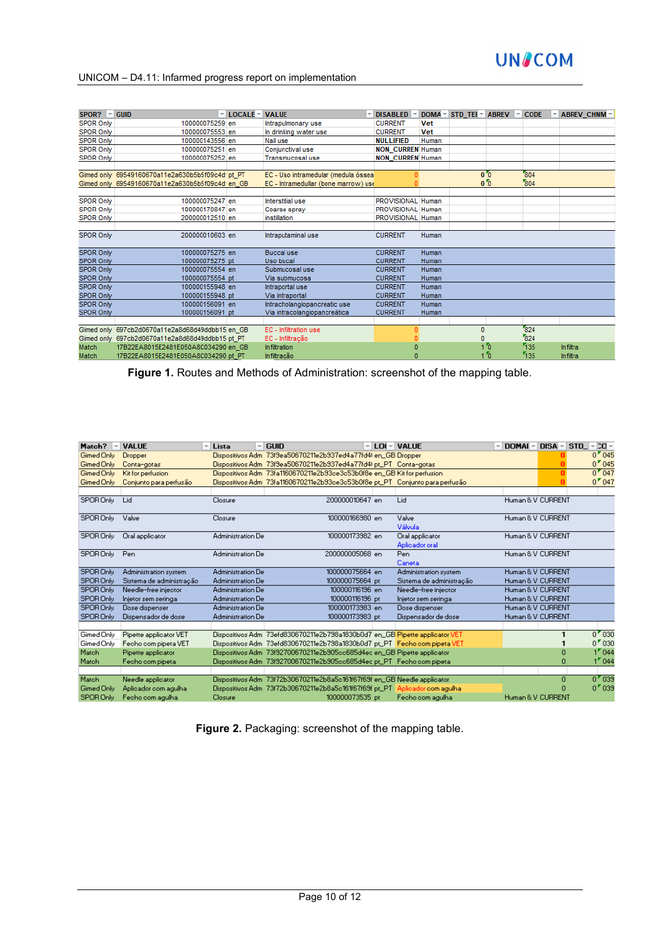# **UN&COM**

#### UNICOM – D4.11: Infarmed progress report on implementation

| $SPOR?$ - GUID   |                                                 | $-$ LOCALE $-$ VALUE |                                      | DISABLED -              | $DOMA -$   | STD TEI - ABREV - CODE |     |     | ABREV CHNM-     |
|------------------|-------------------------------------------------|----------------------|--------------------------------------|-------------------------|------------|------------------------|-----|-----|-----------------|
|                  |                                                 |                      |                                      |                         |            |                        |     |     |                 |
| <b>SPOR Only</b> | 100000075259 en                                 |                      | Intrapulmonary use                   | <b>CURRENT</b>          | Vet        |                        |     |     |                 |
| SPOR Only        | 100000075553 en                                 |                      | In drinking water use                | <b>CURRENT</b>          | <b>Vet</b> |                        |     |     |                 |
| <b>SPOR Only</b> | 100000143556 en                                 |                      | Nail use                             | <b>NULLIFIED</b>        | Human      |                        |     |     |                 |
| <b>SPOR Only</b> | 100000075251 en                                 |                      | Conjunctival use                     | <b>NON_CURREN Human</b> |            |                        |     |     |                 |
| <b>SPOR Only</b> | 100000075252 en                                 |                      | <b>Transmucosal use</b>              | <b>NON CURREN Human</b> |            |                        |     |     |                 |
|                  |                                                 |                      |                                      |                         |            |                        |     |     |                 |
|                  | Gimed only 69549160670a11e2a630b5b5f09c4d pt_PT |                      | EC - Uso intramedular (medula óssea  |                         |            | 0 <sup>7</sup>         |     | 804 |                 |
|                  | Gimed only 69549160670a11e2a630b5b5f09c4d en GB |                      | EC - Intramedullar (bone marrow) use |                         |            | 0 <sup>10</sup>        |     | 804 |                 |
|                  |                                                 |                      |                                      |                         |            |                        |     |     |                 |
| SPOR Only        | 100000075247 en                                 |                      | Interstitial use                     | PROVISIONAL Human       |            |                        |     |     |                 |
| <b>SPOR Only</b> | 100000170847 en                                 |                      | Coarse spray                         | PROVISIONAL Human       |            |                        |     |     |                 |
| SPOR Only        | 200000012510 en                                 |                      | instillation                         | PROVISIONAL Human       |            |                        |     |     |                 |
|                  |                                                 |                      |                                      |                         |            |                        |     |     |                 |
| SPOR Only        | 200000010603 en                                 |                      | Intraputaminal use                   | <b>CURRENT</b>          | Human      |                        |     |     |                 |
|                  |                                                 |                      |                                      |                         |            |                        |     |     |                 |
| <b>SPOR Only</b> | 100000075275 en                                 |                      | <b>Buccal use</b>                    | <b>CURRENT</b>          | Human      |                        |     |     |                 |
| <b>SPOR Only</b> | 100000075275 pt                                 |                      | Uso bucal                            | <b>CURRENT</b>          | Human      |                        |     |     |                 |
| <b>SPOR Only</b> | 100000075554 en                                 |                      | Submucosal use                       | <b>CURRENT</b>          | Human      |                        |     |     |                 |
| <b>SPOR Only</b> | 100000075554 pt                                 |                      | Via submucosa                        | <b>CURRENT</b>          | Human      |                        |     |     |                 |
| <b>SPOR Only</b> | 100000155948 en                                 |                      | Intraportal use                      | <b>CURRENT</b>          | Human      |                        |     |     |                 |
| <b>SPOR Only</b> | 100000155948 pt                                 |                      | Via intraportal                      | <b>CURRENT</b>          | Human      |                        |     |     |                 |
| <b>SPOR Only</b> | 100000156091 en                                 |                      | Intracholangiopancreatic use         | <b>CURRENT</b>          | Human      |                        |     |     |                 |
| <b>SPOR Only</b> | 100000156091 pt                                 |                      | Via intracolangiopancreática         | <b>CURRENT</b>          | Human      |                        |     |     |                 |
|                  |                                                 |                      |                                      |                         |            |                        |     |     |                 |
|                  | Gimed only 697cb2d0670a11e2a8d68d49ddbb15 en_GB |                      | EC - Infiltration use                |                         |            | $\bf{0}$               |     | 824 |                 |
|                  | Gimed only 697cb2d0670a11e2a8d68d49ddbb15 pt PT |                      | EC - Infiltracão                     |                         |            | $\bf{0}$               |     | 824 |                 |
|                  |                                                 |                      |                                      |                         |            | 1 <sup>7</sup>         |     | 135 |                 |
| Match            | 17B22EA8015E2481E050A8C034290 en GB             |                      | <b>Infiltration</b>                  |                         |            |                        |     |     | <b>Infiltra</b> |
| Match            | 17B22EA8015E2481E050A8C034290 pt PT             |                      | Infiltracão                          | n                       |            |                        | To. | 135 | <b>Infiltra</b> |

**Figure 1.** Routes and Methods of Administration: screenshot of the mapping table.

| Match?<br>$\sim$ | <b>VALUE</b><br>×.       | Lista                    | <b>GUID</b>                                                                    | LOI - VALUE              | $DOMAI -$<br>÷.    |   | $DISA = STD$ - $ZI - T$ |
|------------------|--------------------------|--------------------------|--------------------------------------------------------------------------------|--------------------------|--------------------|---|-------------------------|
| Gimed Only       | Dropper                  |                          | Dispositivos Adm 73f9ea50670211e2b937ed4a77fd4I en_GB Dropper                  |                          |                    |   | 0'045                   |
| Gimed Only       | Conta-gotas              |                          | Dispositivos Adm 73f9ea50670211e2b937ed4a77fd4l.pt_PT Conta-gotas              |                          |                    |   | 0''045                  |
| Gimed Only       | Kit for perfusion        |                          | Dispositivos Adm 73fa1160670211e2b93ce3c53b0f8e en_GB Kit for perfusion        |                          |                    |   | 0'047                   |
| Gimed Only       | Conjunto para perfusão   |                          | Dispositivos Adm. 73fa1160670211e2b93ce3c53b0f8e.pt_PT. Conjunto para perfusão |                          |                    |   | 0''047                  |
|                  |                          |                          |                                                                                |                          |                    |   |                         |
| SPOR Only        | Lid                      | Closure                  | 200000010647 en                                                                | Lid                      | Human & V CURRENT  |   |                         |
| SPOR Only        | Valve                    | Closure                  | 100000166980 en                                                                | Valve                    | Human & V CURRENT  |   |                         |
|                  |                          |                          |                                                                                | Válvula                  |                    |   |                         |
| SPOR Only        | Oral applicator          | <b>Administration De</b> | 100000173982 en                                                                | Oral applicator          | Human & V. CURRENT |   |                         |
|                  |                          |                          |                                                                                | Aplicador oral           |                    |   |                         |
| SPOR Only        | Pen                      | <b>Administration De</b> | 200000005068 en                                                                | Pen                      | Human & V. CURRENT |   |                         |
|                  |                          |                          |                                                                                | Caneta                   |                    |   |                         |
| SPOR Only        | Administration system    | <b>Administration De</b> | 100000075664 en                                                                | Administration system    | Human & V. CURRENT |   |                         |
| SPOR Only        | Sistema de administração | <b>Administration De</b> | 100000075664 pt                                                                | Sistema de administração | Human & V CURRENT  |   |                         |
| SPOR Only        | Needle-free injector     | <b>Administration De</b> | 100000116196 en                                                                | Needle-free injector     | Human & V CURRENT  |   |                         |
| SPOR Only        | Injetor sem seringal     | <b>Administration De</b> | 100000116196 pt                                                                | Injetor sem seringa      | Human & V CURRENT  |   |                         |
| SPOR Only        | Dose dispenser           | <b>Administration De</b> | 100000173983 en                                                                | Dose dispenser           | Human & V CURRENT  |   |                         |
| SPOR Only        | Dispensador de dose      | <b>Administration De</b> | 100000173983 pt                                                                | Dispensador de dose      | Human & V CURRENT  |   |                         |
|                  |                          |                          |                                                                                |                          |                    |   |                         |
| Gimed Only       | Pipette applicator VET   |                          | Dispositivos Adm 73efd830670211e2b798a1830b0d7 en_GB Pipette applicator VET    |                          |                    |   | 0'030                   |
| Gimed Only       | Fecho com pipeta VET     |                          | Dispositivos Adm 73efd830670211e2b798a1830b0d7 pt_PT Fecho com pipeta VET      |                          |                    |   | 0''030                  |
| Match            | Pipette applicator       |                          | Dispositivos Adm 73f92700670211e2b905cc685d4ec en_GB Pipette applicator        |                          |                    |   | 1''044                  |
| Match            | Fecho com pipeta         |                          | Dispositivos Adm 73f92700670211e2b905cc685d4ec.pt_PT Fecho.com.pipeta.         |                          |                    | n | 17044                   |
|                  |                          |                          |                                                                                |                          |                    |   |                         |
| Match            | Needle applicator        |                          | Dispositivos Adm 73f72b30670211e2b8a5c161f67f69f en GB Needle applicator       |                          |                    | n | 0'039                   |
| Gimed Only       | Aplicador com aquiha     |                          | Dispositivos Adm. 73f72b30670211e2b8a5c161f67f69f pt_PT. Aplicador com aqulha  |                          |                    | n | 0''039                  |
| SPOR Only        | Fecho com agulha         | Closure                  | 100000073535 pt                                                                | Fecho com agulha         | Human & V CURRENT  |   |                         |

Figure 2. Packaging: screenshot of the mapping table.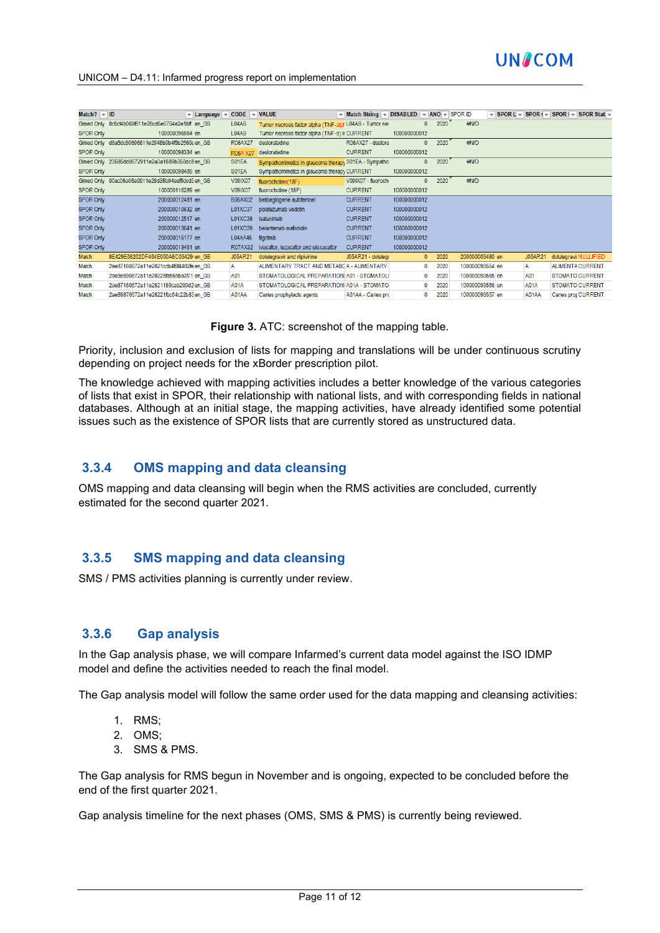

| Match? $\overline{\phantom{a}}$ ID | $\blacktriangleright$ Language $\blacktriangleright$ CODE $\blacktriangleright$ VALUE |                 |                                                         | $\vee$ Match String $\vee$ DISABLED $\vee$ ANO $\vee$ SPOR ID |              |      |                 |                | $\vee$ SPOR L $\vee$ SPOR $\overline{\cdot}$ SPOR $\overline{\cdot}$ SPOR Stat $\vee$ |
|------------------------------------|---------------------------------------------------------------------------------------|-----------------|---------------------------------------------------------|---------------------------------------------------------------|--------------|------|-----------------|----------------|---------------------------------------------------------------------------------------|
|                                    | Gimed Only 8c8cf4b069f811e28cd6e6764e2e1bff en GB                                     | L04AB           | Tumor necrosis factor alpha (TNF-alph L04AB - Tumor ned |                                                               | $\mathbf{0}$ | 2020 | #N/D            |                |                                                                                       |
| <b>SPOR Only</b>                   | 100000096864 en                                                                       | L04AB           | Tumor necrosis factor alpha (TNF-a) ir CURRENT          |                                                               | 100000000012 |      |                 |                |                                                                                       |
|                                    | Gimed Only d8a5dc80696811e2948b9b4f5b2569a en GB                                      | R06AX27         | desloratadine                                           | R06AX27 - deslora                                             | $\Omega$     | 2020 | #N/D            |                |                                                                                       |
| <b>SPOR Only</b>                   | 100000098334 en                                                                       | <b>R06A X27</b> | desloratadine                                           | <b>CURRENT</b>                                                | 100000000012 |      |                 |                |                                                                                       |
|                                    | Gimed Only 23585dd0672911e2a0a1889b350dc8 en GB                                       | S01EA           | Sympathomimetics in glaucoma therapy S01EA - Sympatho   |                                                               | $\bf{0}$     | 2020 | #N/D            |                |                                                                                       |
| <b>SPOR Only</b>                   | 100000098489 en                                                                       | S01EA           | Sympathomimetics in glaucoma therapy CURRENT            |                                                               | 100000000012 |      |                 |                |                                                                                       |
|                                    | Gimed Only 00ac06a06a0911e28d35b94aef5dcd3en GB                                       | <b>V09IX07</b>  | fluorocholine(18F)                                      | V09IX07 - fluorocho                                           | $\mathbf{0}$ | 2020 | #N/D            |                |                                                                                       |
| <b>SPOR Only</b>                   | 100000116289 en                                                                       | <b>V09IX07</b>  | fluorocholine (18F)                                     | <b>CURRENT</b>                                                | 100000000012 |      |                 |                |                                                                                       |
| <b>SPOR Only</b>                   | 200000012481 en                                                                       | <b>B06AX02</b>  | betibeglogene autotemcel                                | <b>CURRENT</b>                                                | 100000000012 |      |                 |                |                                                                                       |
| <b>SPOR Only</b>                   | 200000010632 en                                                                       | L01XC37         | polatuzumab vedotin                                     | <b>CURRENT</b>                                                | 100000000012 |      |                 |                |                                                                                       |
| <b>SPOR Only</b>                   | 200000012517 en                                                                       | L01XC38         | isatuximab                                              | <b>CURRENT</b>                                                | 100000000012 |      |                 |                |                                                                                       |
| <b>SPOR Only</b>                   | 200000013641 en                                                                       | L01XC39         | belantamab matodotin                                    | <b>CURRENT</b>                                                | 100000000012 |      |                 |                |                                                                                       |
| <b>SPOR Only</b>                   | 200000015177 en                                                                       | L04AA45         | filgotinib                                              | <b>CURRENT</b>                                                | 100000000012 |      |                 |                |                                                                                       |
| <b>SPOR Only</b>                   | 200000013491 en                                                                       | R07AX32         | ivacaftor, tezacaftor and elexacaftor                   | <b>CURRENT</b>                                                | 100000000012 |      |                 |                |                                                                                       |
| Match                              | 8E429E08262DF464E050A8C03429 en GB                                                    | <b>J05AR21</b>  | dolutegravir and rilpivirine                            | J05AR21 - dolutegi                                            | $\mathbf{0}$ | 2020 | 200000003480 en | <b>J05AR21</b> | dolutegravi NULLIFIED                                                                 |
| Match                              | 2ae87160672a11e2821cdb4f6f4402fe en GB                                                | А               | ALIMENTARY TRACT AND METABOA - ALIMENTARY               |                                                               | $\mathbf{0}$ | 2020 | 100000093554 en | А              | <b>ALIMENTA CURRENT</b>                                                               |
| Match                              | 2ae8e690672a11e28225fa56aba3f71 en GB                                                 | A01             | STOMATOLOGICAL PREPARATION: A01 - STOMATOL(             |                                                               |              | 2020 | 100000093555 en | A01            | <b>STOMATO CURRENT</b>                                                                |
| Match                              | 2ae87160672a11e2821189cab209d2en GB                                                   | A01A            | STOMATOLOGICAL PREPARATION A01A - STOMATO               |                                                               |              | 2020 | 100000093556 en | <b>A01A</b>    | <b>STOMATO CURRENT</b>                                                                |
| Match                              | 2ae89870672a11e28221fbc64c22b83en GB                                                  | A01AA           | Caries prophylactic agents                              | A01AA - Caries pro                                            |              | 2020 | 100000093557 en | A01AA          | Caries prot CURRENT                                                                   |

**Figure 3.** ATC: screenshot of the mapping table.

Priority, inclusion and exclusion of lists for mapping and translations will be under continuous scrutiny depending on project needs for the xBorder prescription pilot.

The knowledge achieved with mapping activities includes a better knowledge of the various categories of lists that exist in SPOR, their relationship with national lists, and with corresponding fields in national databases. Although at an initial stage, the mapping activities, have already identified some potential issues such as the existence of SPOR lists that are currently stored as unstructured data.

#### **3.3.4 OMS mapping and data cleansing**

OMS mapping and data cleansing will begin when the RMS activities are concluded, currently estimated for the second quarter 2021.

#### **3.3.5 SMS mapping and data cleansing**

SMS / PMS activities planning is currently under review.

#### **3.3.6 Gap analysis**

In the Gap analysis phase, we will compare Infarmed's current data model against the ISO IDMP model and define the activities needed to reach the final model.

The Gap analysis model will follow the same order used for the data mapping and cleansing activities:

- 1. RMS;
- 2. OMS;
- 3. SMS & PMS.

The Gap analysis for RMS begun in November and is ongoing, expected to be concluded before the end of the first quarter 2021.

Gap analysis timeline for the next phases (OMS, SMS & PMS) is currently being reviewed.